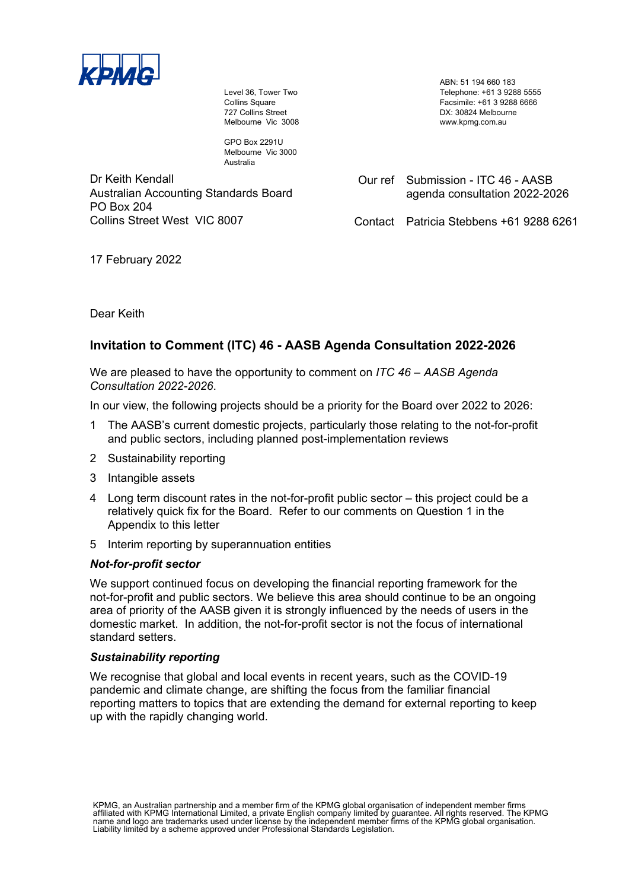

Level 36, Tower Two Collins Square 727 Collins Street Melbourne Vic 3008

GPO Box 2291U Melbourne Vic 3000 Australia

Dr Keith Kendall Australian Accounting Standards Board PO Box 204 Collins Street West VIC 8007

ABN: 51 194 660 183 Telephone: +61 3 9288 5555 Facsimile: +61 3 9288 6666 DX: 30824 Melbourne www.kpmg.com.au

Our ref Submission - ITC 46 - AASB agenda consultation 2022-2026

Contact Patricia Stebbens +61 9288 6261

17 February 2022

Dear Keith

# **Invitation to Comment (ITC) 46 - AASB Agenda Consultation 2022-2026**

We are pleased to have the opportunity to comment on *ITC 46 – AASB Agenda Consultation 2022-2026*.

In our view, the following projects should be a priority for the Board over 2022 to 2026:

- 1 The AASB's current domestic projects, particularly those relating to the not-for-profit and public sectors, including planned post-implementation reviews
- 2 Sustainability reporting
- 3 Intangible assets
- 4 Long term discount rates in the not-for-profit public sector this project could be a relatively quick fix for the Board. Refer to our comments on Question 1 in the Appendix to this letter
- 5 Interim reporting by superannuation entities

# *Not-for-profit sector*

We support continued focus on developing the financial reporting framework for the not-for-profit and public sectors. We believe this area should continue to be an ongoing area of priority of the AASB given it is strongly influenced by the needs of users in the domestic market. In addition, the not-for-profit sector is not the focus of international standard setters.

## *Sustainability reporting*

We recognise that global and local events in recent years, such as the COVID-19 pandemic and climate change, are shifting the focus from the familiar financial reporting matters to topics that are extending the demand for external reporting to keep up with the rapidly changing world.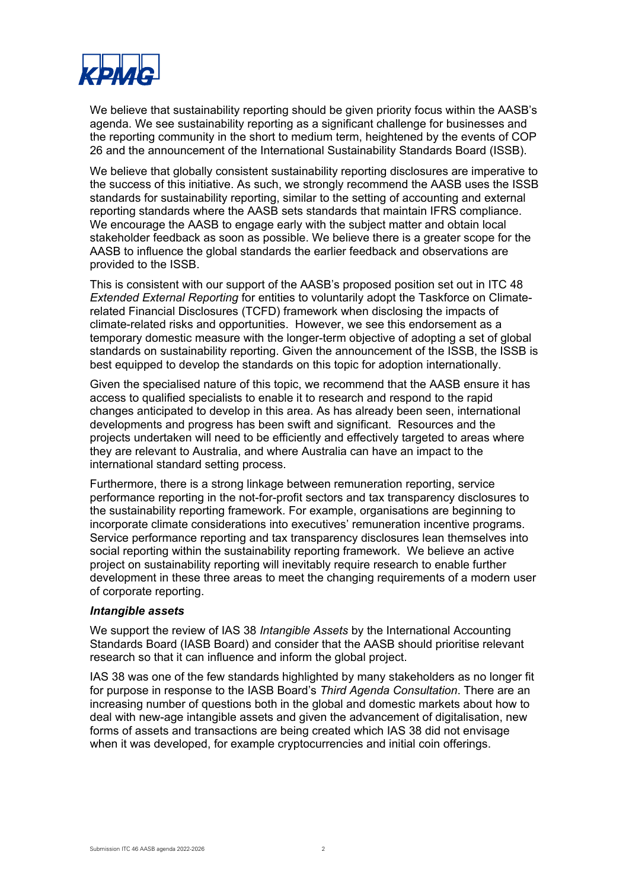

We believe that sustainability reporting should be given priority focus within the AASB's agenda. We see sustainability reporting as a significant challenge for businesses and the reporting community in the short to medium term, heightened by the events of COP 26 and the announcement of the International Sustainability Standards Board (ISSB).

We believe that globally consistent sustainability reporting disclosures are imperative to the success of this initiative. As such, we strongly recommend the AASB uses the ISSB standards for sustainability reporting, similar to the setting of accounting and external reporting standards where the AASB sets standards that maintain IFRS compliance. We encourage the AASB to engage early with the subject matter and obtain local stakeholder feedback as soon as possible. We believe there is a greater scope for the AASB to influence the global standards the earlier feedback and observations are provided to the ISSB.

This is consistent with our support of the AASB's proposed position set out in ITC 48 *Extended External Reporting* for entities to voluntarily adopt the Taskforce on Climaterelated Financial Disclosures (TCFD) framework when disclosing the impacts of climate-related risks and opportunities. However, we see this endorsement as a temporary domestic measure with the longer-term objective of adopting a set of global standards on sustainability reporting. Given the announcement of the ISSB, the ISSB is best equipped to develop the standards on this topic for adoption internationally.

Given the specialised nature of this topic, we recommend that the AASB ensure it has access to qualified specialists to enable it to research and respond to the rapid changes anticipated to develop in this area. As has already been seen, international developments and progress has been swift and significant. Resources and the projects undertaken will need to be efficiently and effectively targeted to areas where they are relevant to Australia, and where Australia can have an impact to the international standard setting process.

Furthermore, there is a strong linkage between remuneration reporting, service performance reporting in the not-for-profit sectors and tax transparency disclosures to the sustainability reporting framework. For example, organisations are beginning to incorporate climate considerations into executives' remuneration incentive programs. Service performance reporting and tax transparency disclosures lean themselves into social reporting within the sustainability reporting framework. We believe an active project on sustainability reporting will inevitably require research to enable further development in these three areas to meet the changing requirements of a modern user of corporate reporting.

## *Intangible assets*

We support the review of IAS 38 *Intangible Assets* by the International Accounting Standards Board (IASB Board) and consider that the AASB should prioritise relevant research so that it can influence and inform the global project.

IAS 38 was one of the few standards highlighted by many stakeholders as no longer fit for purpose in response to the IASB Board's *Third Agenda Consultation*. There are an increasing number of questions both in the global and domestic markets about how to deal with new-age intangible assets and given the advancement of digitalisation, new forms of assets and transactions are being created which IAS 38 did not envisage when it was developed, for example cryptocurrencies and initial coin offerings.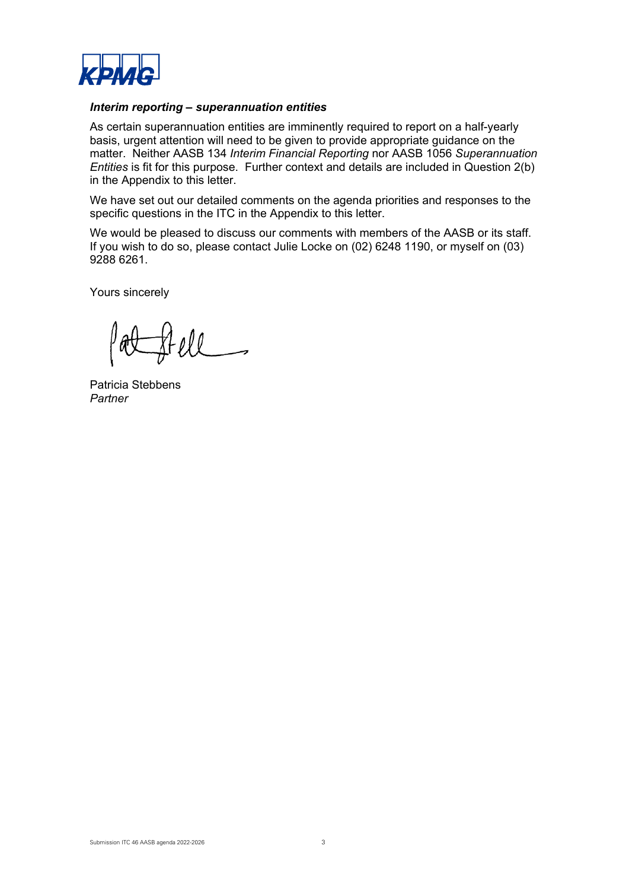

# *Interim reporting – superannuation entities*

As certain superannuation entities are imminently required to report on a half-yearly basis, urgent attention will need to be given to provide appropriate guidance on the matter. Neither AASB 134 *Interim Financial Reporting* nor AASB 1056 *Superannuation Entities* is fit for this purpose. Further context and details are included in Question 2(b) in the Appendix to this letter.

We have set out our detailed comments on the agenda priorities and responses to the specific questions in the ITC in the Appendix to this letter.

We would be pleased to discuss our comments with members of the AASB or its staff. If you wish to do so, please contact Julie Locke on (02) 6248 1190, or myself on (03) 9288 6261.

Yours sincerely

Patricia Stebbens *Partner*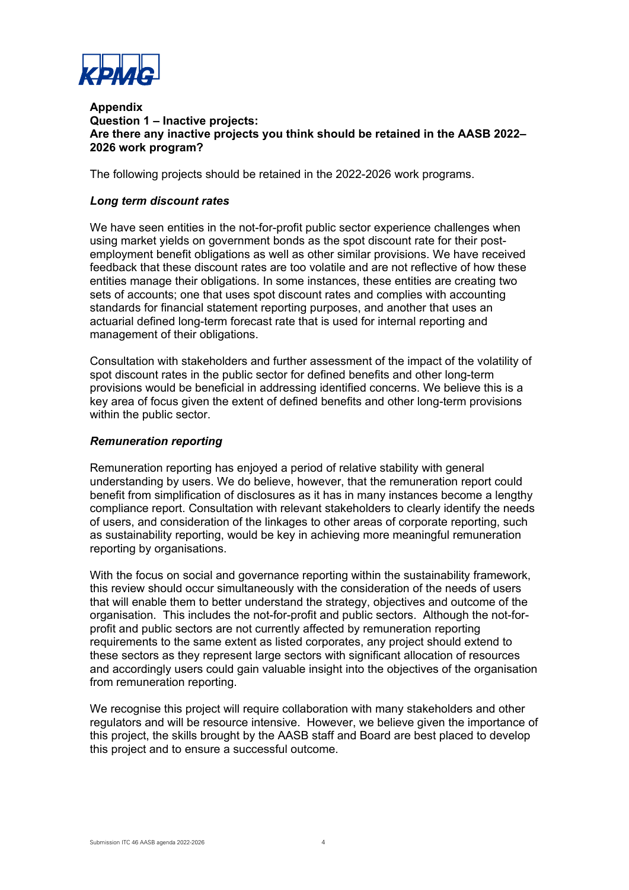

## **Appendix Question 1 – Inactive projects: Are there any inactive projects you think should be retained in the AASB 2022– 2026 work program?**

The following projects should be retained in the 2022-2026 work programs.

# *Long term discount rates*

We have seen entities in the not-for-profit public sector experience challenges when using market yields on government bonds as the spot discount rate for their postemployment benefit obligations as well as other similar provisions. We have received feedback that these discount rates are too volatile and are not reflective of how these entities manage their obligations. In some instances, these entities are creating two sets of accounts; one that uses spot discount rates and complies with accounting standards for financial statement reporting purposes, and another that uses an actuarial defined long-term forecast rate that is used for internal reporting and management of their obligations.

Consultation with stakeholders and further assessment of the impact of the volatility of spot discount rates in the public sector for defined benefits and other long-term provisions would be beneficial in addressing identified concerns. We believe this is a key area of focus given the extent of defined benefits and other long-term provisions within the public sector.

# *Remuneration reporting*

Remuneration reporting has enjoyed a period of relative stability with general understanding by users. We do believe, however, that the remuneration report could benefit from simplification of disclosures as it has in many instances become a lengthy compliance report. Consultation with relevant stakeholders to clearly identify the needs of users, and consideration of the linkages to other areas of corporate reporting, such as sustainability reporting, would be key in achieving more meaningful remuneration reporting by organisations.

With the focus on social and governance reporting within the sustainability framework, this review should occur simultaneously with the consideration of the needs of users that will enable them to better understand the strategy, objectives and outcome of the organisation. This includes the not-for-profit and public sectors. Although the not-forprofit and public sectors are not currently affected by remuneration reporting requirements to the same extent as listed corporates, any project should extend to these sectors as they represent large sectors with significant allocation of resources and accordingly users could gain valuable insight into the objectives of the organisation from remuneration reporting.

We recognise this project will require collaboration with many stakeholders and other regulators and will be resource intensive. However, we believe given the importance of this project, the skills brought by the AASB staff and Board are best placed to develop this project and to ensure a successful outcome.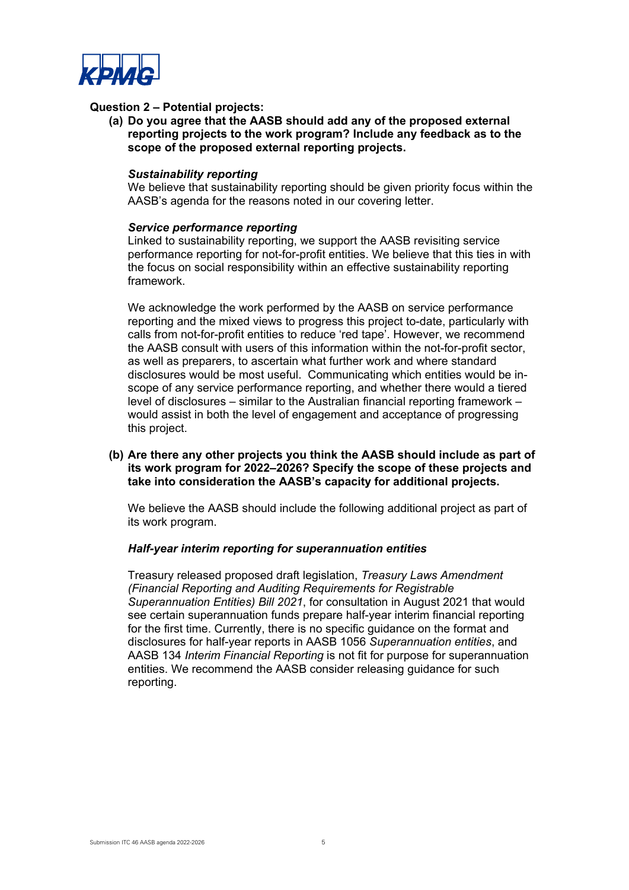

# **Question 2 – Potential projects:**

**(a) Do you agree that the AASB should add any of the proposed external reporting projects to the work program? Include any feedback as to the scope of the proposed external reporting projects.** 

#### *Sustainability reporting*

We believe that sustainability reporting should be given priority focus within the AASB's agenda for the reasons noted in our covering letter.

#### *Service performance reporting*

Linked to sustainability reporting, we support the AASB revisiting service performance reporting for not-for-profit entities. We believe that this ties in with the focus on social responsibility within an effective sustainability reporting framework.

We acknowledge the work performed by the AASB on service performance reporting and the mixed views to progress this project to-date, particularly with calls from not-for-profit entities to reduce 'red tape'. However, we recommend the AASB consult with users of this information within the not-for-profit sector, as well as preparers, to ascertain what further work and where standard disclosures would be most useful. Communicating which entities would be inscope of any service performance reporting, and whether there would a tiered level of disclosures – similar to the Australian financial reporting framework – would assist in both the level of engagement and acceptance of progressing this project.

## **(b) Are there any other projects you think the AASB should include as part of its work program for 2022–2026? Specify the scope of these projects and take into consideration the AASB's capacity for additional projects.**

We believe the AASB should include the following additional project as part of its work program.

## *Half-year interim reporting for superannuation entities*

Treasury released proposed draft legislation, *Treasury Laws Amendment (Financial Reporting and Auditing Requirements for Registrable Superannuation Entities) Bill 2021*, for consultation in August 2021 that would see certain superannuation funds prepare half-year interim financial reporting for the first time. Currently, there is no specific guidance on the format and disclosures for half-year reports in AASB 1056 *Superannuation entities*, and AASB 134 *Interim Financial Reporting* is not fit for purpose for superannuation entities. We recommend the AASB consider releasing guidance for such reporting.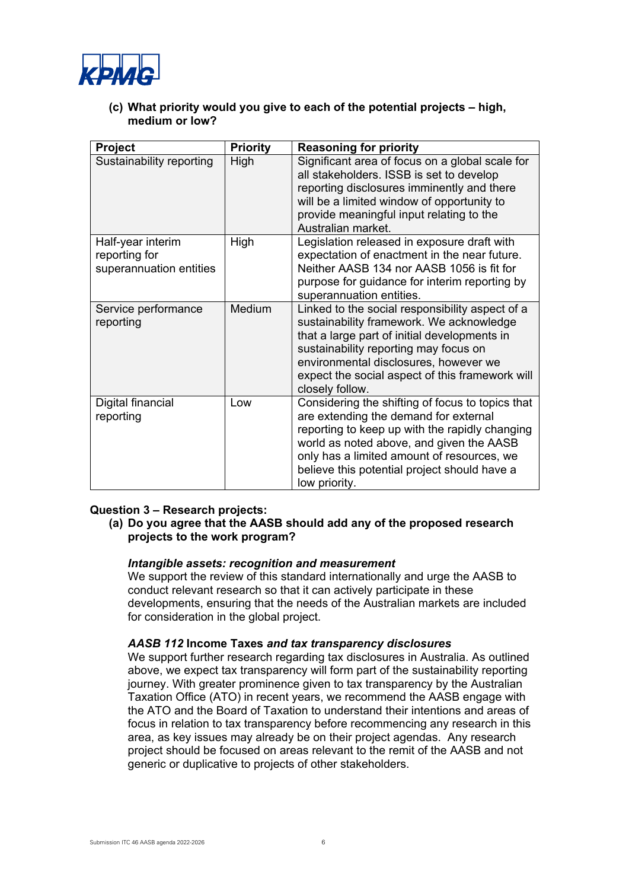

**(c) What priority would you give to each of the potential projects – high, medium or low?** 

| Project                                                       | <b>Priority</b> | <b>Reasoning for priority</b>                                                                                                                                                                                                                                                                          |
|---------------------------------------------------------------|-----------------|--------------------------------------------------------------------------------------------------------------------------------------------------------------------------------------------------------------------------------------------------------------------------------------------------------|
| Sustainability reporting                                      | High            | Significant area of focus on a global scale for<br>all stakeholders. ISSB is set to develop<br>reporting disclosures imminently and there<br>will be a limited window of opportunity to<br>provide meaningful input relating to the<br>Australian market.                                              |
| Half-year interim<br>reporting for<br>superannuation entities | High            | Legislation released in exposure draft with<br>expectation of enactment in the near future.<br>Neither AASB 134 nor AASB 1056 is fit for<br>purpose for guidance for interim reporting by<br>superannuation entities.                                                                                  |
| Service performance<br>reporting                              | <b>Medium</b>   | Linked to the social responsibility aspect of a<br>sustainability framework. We acknowledge<br>that a large part of initial developments in<br>sustainability reporting may focus on<br>environmental disclosures, however we<br>expect the social aspect of this framework will<br>closely follow.    |
| Digital financial<br>reporting                                | Low             | Considering the shifting of focus to topics that<br>are extending the demand for external<br>reporting to keep up with the rapidly changing<br>world as noted above, and given the AASB<br>only has a limited amount of resources, we<br>believe this potential project should have a<br>low priority. |

## **Question 3 – Research projects:**

**(a) Do you agree that the AASB should add any of the proposed research projects to the work program?** 

## *Intangible assets: recognition and measurement*

We support the review of this standard internationally and urge the AASB to conduct relevant research so that it can actively participate in these developments, ensuring that the needs of the Australian markets are included for consideration in the global project.

#### *AASB 112* **Income Taxes** *and tax transparency disclosures*

We support further research regarding tax disclosures in Australia. As outlined above, we expect tax transparency will form part of the sustainability reporting journey. With greater prominence given to tax transparency by the Australian Taxation Office (ATO) in recent years, we recommend the AASB engage with the ATO and the Board of Taxation to understand their intentions and areas of focus in relation to tax transparency before recommencing any research in this area, as key issues may already be on their project agendas. Any research project should be focused on areas relevant to the remit of the AASB and not generic or duplicative to projects of other stakeholders.